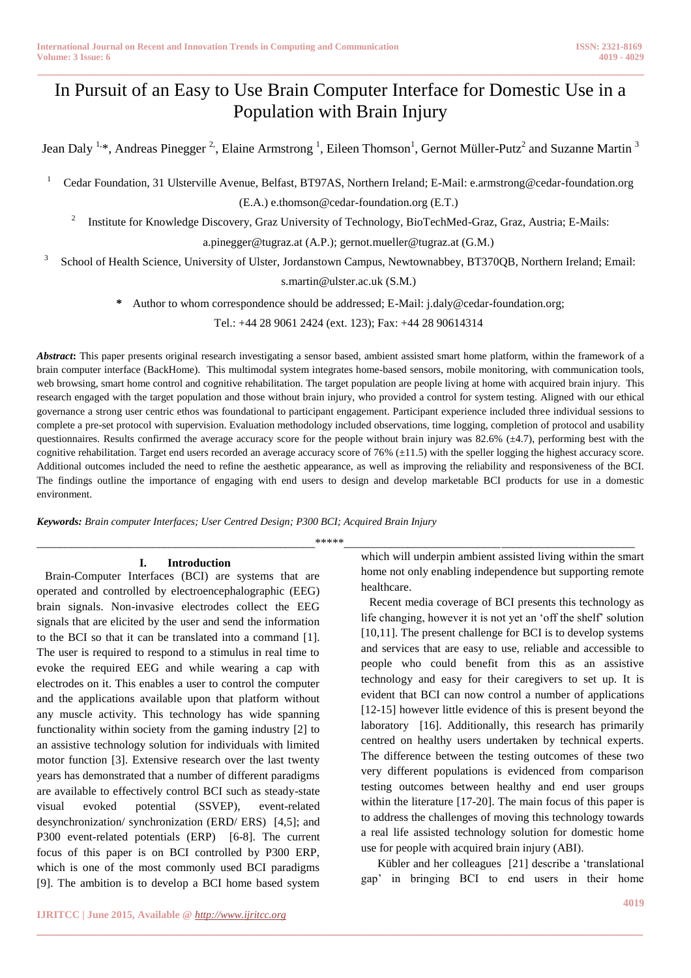# In Pursuit of an Easy to Use Brain Computer Interface for Domestic Use in a Population with Brain Injury

**\_\_\_\_\_\_\_\_\_\_\_\_\_\_\_\_\_\_\_\_\_\_\_\_\_\_\_\_\_\_\_\_\_\_\_\_\_\_\_\_\_\_\_\_\_\_\_\_\_\_\_\_\_\_\_\_\_\_\_\_\_\_\_\_\_\_\_\_\_\_\_\_\_\_\_\_\_\_\_\_\_\_\_\_\_\_\_\_\_\_\_\_\_\_\_**

Jean Daly <sup>1,</sup>\*, Andreas Pinegger <sup>2,</sup>, Elaine Armstrong <sup>1</sup>, Eileen Thomson<sup>1</sup>, Gernot Müller-Putz<sup>2</sup> and Suzanne Martin <sup>3</sup>

<sup>1</sup> Cedar Foundation, 31 Ulsterville Avenue, Belfast, BT97AS, Northern Ireland; E-Mail: e.armstrong@cedar-foundation.org

(E.A.) e.thomson@cedar-foundation.org (E.T.)

2 Institute for Knowledge Discovery, Graz University of Technology, BioTechMed-Graz, Graz, Austria; E-Mails:

a.pinegger@tugraz.at (A.P.); gernot.mueller@tugraz.at (G.M.)

<sup>3</sup> School of Health Science, University of Ulster, Jordanstown Campus, Newtownabbey, BT370QB, Northern Ireland; Email:

s.martin@ulster.ac.uk (S.M.)

**\*** Author to whom correspondence should be addressed; E-Mail: j.daly@cedar-foundation.org;

Tel.: +44 28 9061 2424 (ext. 123); Fax: +44 28 90614314

*Abstract***:** This paper presents original research investigating a sensor based, ambient assisted smart home platform, within the framework of a brain computer interface (BackHome). This multimodal system integrates home-based sensors, mobile monitoring, with communication tools, web browsing, smart home control and cognitive rehabilitation. The target population are people living at home with acquired brain injury. This research engaged with the target population and those without brain injury, who provided a control for system testing. Aligned with our ethical governance a strong user centric ethos was foundational to participant engagement. Participant experience included three individual sessions to complete a pre-set protocol with supervision. Evaluation methodology included observations, time logging, completion of protocol and usability questionnaires. Results confirmed the average accuracy score for the people without brain injury was 82.6% (±4.7), performing best with the cognitive rehabilitation. Target end users recorded an average accuracy score of 76% (±11.5) with the speller logging the highest accuracy score. Additional outcomes included the need to refine the aesthetic appearance, as well as improving the reliability and responsiveness of the BCI. The findings outline the importance of engaging with end users to design and develop marketable BCI products for use in a domestic environment.

*Keywords: Brain computer Interfaces; User Centred Design; P300 BCI; Acquired Brain Injury*

## **I. Introduction**

Brain-Computer Interfaces (BCI) are systems that are operated and controlled by electroencephalographic (EEG) brain signals. Non-invasive electrodes collect the EEG signals that are elicited by the user and send the information to the BCI so that it can be translated into a command [1]. The user is required to respond to a stimulus in real time to evoke the required EEG and while wearing a cap with electrodes on it. This enables a user to control the computer and the applications available upon that platform without any muscle activity. This technology has wide spanning functionality within society from the gaming industry [2] to an assistive technology solution for individuals with limited motor function [3]. Extensive research over the last twenty years has demonstrated that a number of different paradigms are available to effectively control BCI such as steady-state visual evoked potential (SSVEP), event-related desynchronization/ synchronization (ERD/ ERS) [4,5]; and P300 event-related potentials (ERP) [6-8]. The current focus of this paper is on BCI controlled by P300 ERP, which is one of the most commonly used BCI paradigms [9]. The ambition is to develop a BCI home based system

**\_\_\_\_\_\_\_\_\_\_\_\_\_\_\_\_\_\_\_\_\_\_\_\_\_\_\_\_\_\_\_\_\_\_\_\_\_\_\_\_\_\_\_\_\_\_\_\_\_\_\_\_\_\_\_\_\_\_\_\_\_\_\_\_\_\_\_\_\_\_\_\_\_\_\_\_\_\_\_\_\_\_\_\_\_\_\_**

Kübler and her colleagues [21] describe a 'translational gap' in bringing BCI to end users in their home

which will underpin ambient assisted living within the smart home not only enabling independence but supporting remote healthcare.

Recent media coverage of BCI presents this technology as life changing, however it is not yet an 'off the shelf' solution [10,11]. The present challenge for BCI is to develop systems and services that are easy to use, reliable and accessible to people who could benefit from this as an assistive technology and easy for their caregivers to set up. It is evident that BCI can now control a number of applications [12-15] however little evidence of this is present beyond the laboratory [16]. Additionally, this research has primarily centred on healthy users undertaken by technical experts. The difference between the testing outcomes of these two very different populations is evidenced from comparison testing outcomes between healthy and end user groups within the literature [17-20]. The main focus of this paper is to address the challenges of moving this technology towards a real life assisted technology solution for domestic home use for people with acquired brain injury (ABI).

\_\_\_\_\_\_\_\_\_\_\_\_\_\_\_\_\_\_\_\_\_\_\_\_\_\_\_\_\_\_\_\_\_\_\_\_\_\_\_\_\_\_\_\_\_\_\_\_\*\*\*\*\*\_\_\_\_\_\_\_\_\_\_\_\_\_\_\_\_\_\_\_\_\_\_\_\_\_\_\_\_\_\_\_\_\_\_\_\_\_\_\_\_\_\_\_\_\_\_\_\_\_\_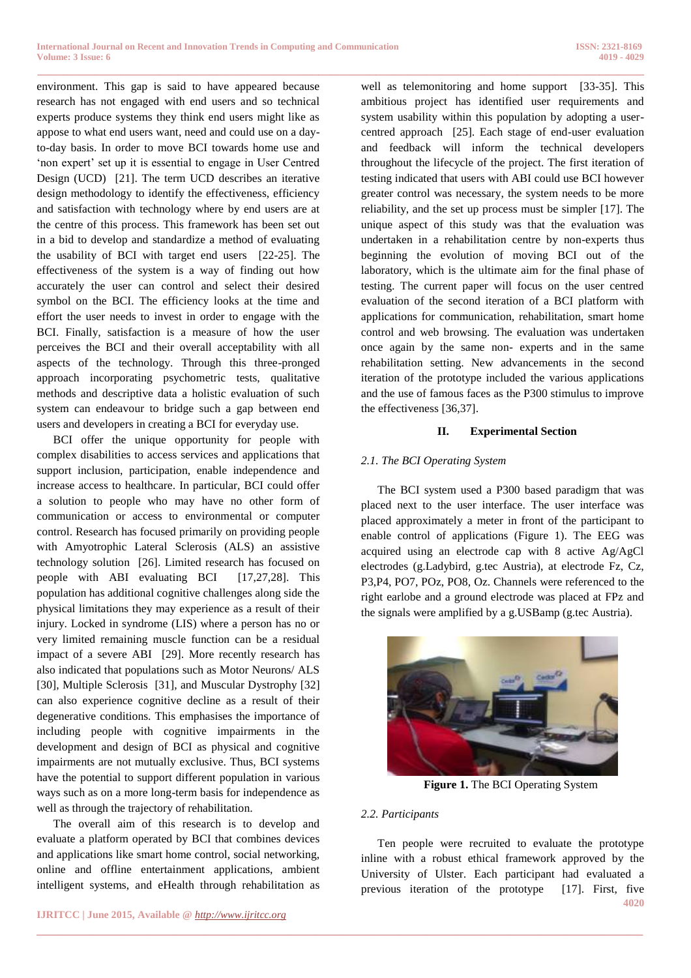environment. This gap is said to have appeared because research has not engaged with end users and so technical experts produce systems they think end users might like as appose to what end users want, need and could use on a dayto-day basis. In order to move BCI towards home use and 'non expert' set up it is essential to engage in User Centred Design (UCD) [21]. The term UCD describes an iterative design methodology to identify the effectiveness, efficiency and satisfaction with technology where by end users are at the centre of this process. This framework has been set out in a bid to develop and standardize a method of evaluating the usability of BCI with target end users [22-25]. The effectiveness of the system is a way of finding out how accurately the user can control and select their desired symbol on the BCI. The efficiency looks at the time and effort the user needs to invest in order to engage with the BCI. Finally, satisfaction is a measure of how the user perceives the BCI and their overall acceptability with all aspects of the technology. Through this three-pronged approach incorporating psychometric tests, qualitative methods and descriptive data a holistic evaluation of such system can endeavour to bridge such a gap between end users and developers in creating a BCI for everyday use.

BCI offer the unique opportunity for people with complex disabilities to access services and applications that support inclusion, participation, enable independence and increase access to healthcare. In particular, BCI could offer a solution to people who may have no other form of communication or access to environmental or computer control. Research has focused primarily on providing people with Amyotrophic Lateral Sclerosis (ALS) an assistive technology solution [26]. Limited research has focused on people with ABI evaluating BCI [17,27,28]. This population has additional cognitive challenges along side the physical limitations they may experience as a result of their injury. Locked in syndrome (LIS) where a person has no or very limited remaining muscle function can be a residual impact of a severe ABI [29]. More recently research has also indicated that populations such as Motor Neurons/ ALS [30], Multiple Sclerosis [31], and Muscular Dystrophy [32] can also experience cognitive decline as a result of their degenerative conditions. This emphasises the importance of including people with cognitive impairments in the development and design of BCI as physical and cognitive impairments are not mutually exclusive. Thus, BCI systems have the potential to support different population in various ways such as on a more long-term basis for independence as well as through the trajectory of rehabilitation.

The overall aim of this research is to develop and evaluate a platform operated by BCI that combines devices and applications like smart home control, social networking, online and offline entertainment applications, ambient intelligent systems, and eHealth through rehabilitation as

**\_\_\_\_\_\_\_\_\_\_\_\_\_\_\_\_\_\_\_\_\_\_\_\_\_\_\_\_\_\_\_\_\_\_\_\_\_\_\_\_\_\_\_\_\_\_\_\_\_\_\_\_\_\_\_\_\_\_\_\_\_\_\_\_\_\_\_\_\_\_\_\_\_\_\_\_\_\_\_\_\_\_\_\_\_\_\_\_\_\_\_\_\_\_\_** well as telemonitoring and home support [33-35]. This ambitious project has identified user requirements and system usability within this population by adopting a usercentred approach [25]. Each stage of end-user evaluation and feedback will inform the technical developers throughout the lifecycle of the project. The first iteration of testing indicated that users with ABI could use BCI however greater control was necessary, the system needs to be more reliability, and the set up process must be simpler [17]. The unique aspect of this study was that the evaluation was undertaken in a rehabilitation centre by non-experts thus beginning the evolution of moving BCI out of the laboratory, which is the ultimate aim for the final phase of testing. The current paper will focus on the user centred evaluation of the second iteration of a BCI platform with applications for communication, rehabilitation, smart home control and web browsing. The evaluation was undertaken once again by the same non- experts and in the same rehabilitation setting. New advancements in the second iteration of the prototype included the various applications and the use of famous faces as the P300 stimulus to improve the effectiveness [36,37].

### **II. Experimental Section**

## *2.1. The BCI Operating System*

The BCI system used a P300 based paradigm that was placed next to the user interface. The user interface was placed approximately a meter in front of the participant to enable control of applications (Figure 1). The EEG was acquired using an electrode cap with 8 active Ag/AgCl electrodes (g.Ladybird, g.tec Austria), at electrode Fz, Cz, P3,P4, PO7, POz, PO8, Oz. Channels were referenced to the right earlobe and a ground electrode was placed at FPz and the signals were amplified by a g.USBamp (g.tec Austria).



**Figure 1.** The BCI Operating System

#### *2.2. Participants*

**\_\_\_\_\_\_\_\_\_\_\_\_\_\_\_\_\_\_\_\_\_\_\_\_\_\_\_\_\_\_\_\_\_\_\_\_\_\_\_\_\_\_\_\_\_\_\_\_\_\_\_\_\_\_\_\_\_\_\_\_\_\_\_\_\_\_\_\_\_\_\_\_\_\_\_\_\_\_\_\_\_\_\_\_\_\_\_**

**4020** Ten people were recruited to evaluate the prototype inline with a robust ethical framework approved by the University of Ulster. Each participant had evaluated a previous iteration of the prototype [17]. First, five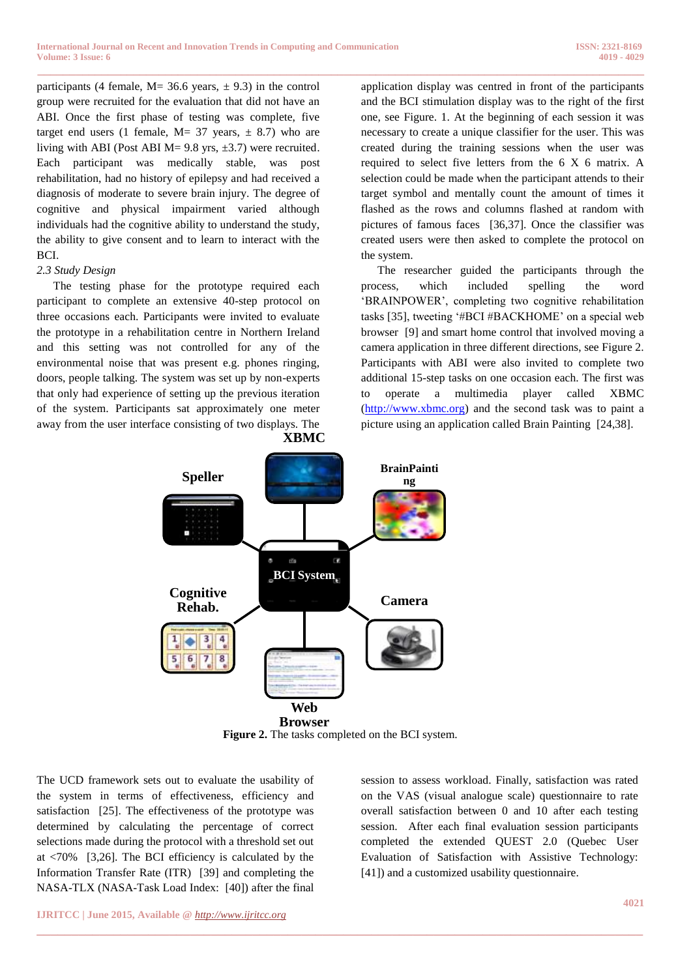participants (4 female,  $M = 36.6$  years,  $\pm$  9.3) in the control group were recruited for the evaluation that did not have an ABI. Once the first phase of testing was complete, five target end users (1 female,  $M = 37$  years,  $\pm$  8.7) who are living with ABI (Post ABI M=  $9.8$  yrs,  $\pm 3.7$ ) were recruited. Each participant was medically stable, was post rehabilitation, had no history of epilepsy and had received a diagnosis of moderate to severe brain injury. The degree of cognitive and physical impairment varied although individuals had the cognitive ability to understand the study, the ability to give consent and to learn to interact with the BCI.

#### *2.3 Study Design*

The testing phase for the prototype required each participant to complete an extensive 40-step protocol on three occasions each. Participants were invited to evaluate the prototype in a rehabilitation centre in Northern Ireland and this setting was not controlled for any of the environmental noise that was present e.g. phones ringing, doors, people talking. The system was set up by non-experts that only had experience of setting up the previous iteration of the system. Participants sat approximately one meter away from the user interface consisting of two displays. The **XBMC** application display was centred in front of the participants and the BCI stimulation display was to the right of the first one, see Figure. 1. At the beginning of each session it was necessary to create a unique classifier for the user. This was created during the training sessions when the user was required to select five letters from the 6 X 6 matrix. A selection could be made when the participant attends to their target symbol and mentally count the amount of times it flashed as the rows and columns flashed at random with pictures of famous faces [36,37]. Once the classifier was created users were then asked to complete the protocol on the system.

The researcher guided the participants through the process, which included spelling the word 'BRAINPOWER', completing two cognitive rehabilitation tasks [35], tweeting '#BCI #BACKHOME' on a special web browser [9] and smart home control that involved moving a camera application in three different directions, see Figure 2. Participants with ABI were also invited to complete two additional 15-step tasks on one occasion each. The first was to operate a multimedia player called XBMC [\(http://www.xbmc.org\)](http://www.xbmc.org/) and the second task was to paint a picture using an application called Brain Painting [24,38].



**Figure 2.** The tasks completed on the BCI system.

**\_\_\_\_\_\_\_\_\_\_\_\_\_\_\_\_\_\_\_\_\_\_\_\_\_\_\_\_\_\_\_\_\_\_\_\_\_\_\_\_\_\_\_\_\_\_\_\_\_\_\_\_\_\_\_\_\_\_\_\_\_\_\_\_\_\_\_\_\_\_\_\_\_\_\_\_\_\_\_\_\_\_\_\_\_\_\_**

The UCD framework sets out to evaluate the usability of the system in terms of effectiveness, efficiency and satisfaction [25]. The effectiveness of the prototype was determined by calculating the percentage of correct selections made during the protocol with a threshold set out at <70% [3,26]. The BCI efficiency is calculated by the Information Transfer Rate (ITR) [39] and completing the NASA-TLX (NASA-Task Load Index: [40]) after the final

session to assess workload. Finally, satisfaction was rated on the VAS (visual analogue scale) questionnaire to rate overall satisfaction between 0 and 10 after each testing session. After each final evaluation session participants completed the extended QUEST 2.0 (Quebec User Evaluation of Satisfaction with Assistive Technology: [41]) and a customized usability questionnaire.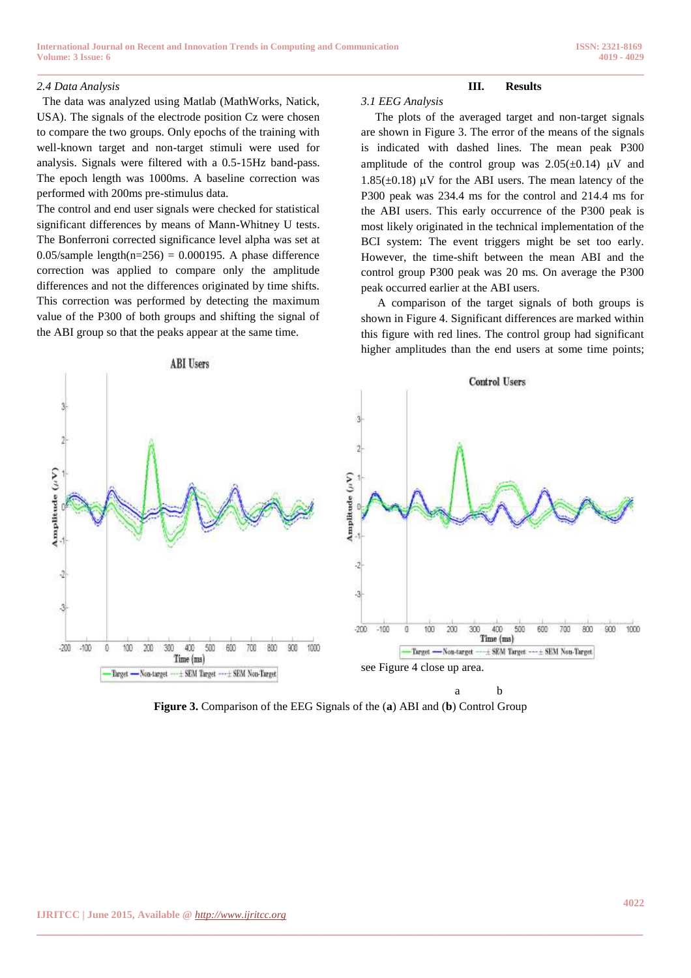#### *2.4 Data Analysis*

 The data was analyzed using Matlab (MathWorks, Natick, USA). The signals of the electrode position Cz were chosen to compare the two groups. Only epochs of the training with well-known target and non-target stimuli were used for analysis. Signals were filtered with a 0.5-15Hz band-pass. The epoch length was 1000ms. A baseline correction was performed with 200ms pre-stimulus data.

The control and end user signals were checked for statistical significant differences by means of Mann-Whitney U tests. The Bonferroni corrected significance level alpha was set at 0.05/sample length( $n=256$ ) = 0.000195. A phase difference correction was applied to compare only the amplitude differences and not the differences originated by time shifts. This correction was performed by detecting the maximum value of the P300 of both groups and shifting the signal of the ABI group so that the peaks appear at the same time.

#### **III. Results**

#### *3.1 EEG Analysis*

 The plots of the averaged target and non-target signals are shown in Figure 3. The error of the means of the signals is indicated with dashed lines. The mean peak P300 amplitude of the control group was  $2.05(\pm 0.14)$  µV and 1.85( $\pm$ 0.18) µV for the ABI users. The mean latency of the P300 peak was 234.4 ms for the control and 214.4 ms for the ABI users. This early occurrence of the P300 peak is most likely originated in the technical implementation of the BCI system: The event triggers might be set too early. However, the time-shift between the mean ABI and the control group P300 peak was 20 ms. On average the P300 peak occurred earlier at the ABI users.

A comparison of the target signals of both groups is shown in Figure 4. Significant differences are marked within this figure with red lines. The control group had significant higher amplitudes than the end users at some time points;



**\_\_\_\_\_\_\_\_\_\_\_\_\_\_\_\_\_\_\_\_\_\_\_\_\_\_\_\_\_\_\_\_\_\_\_\_\_\_\_\_\_\_\_\_\_\_\_\_\_\_\_\_\_\_\_\_\_\_\_\_\_\_\_\_\_\_\_\_\_\_\_\_\_\_\_\_\_\_\_\_\_\_\_\_\_\_\_\_\_\_\_\_\_\_\_**

**Figure 3.** Comparison of the EEG Signals of the (**a**) ABI and (**b**) Control Group

**\_\_\_\_\_\_\_\_\_\_\_\_\_\_\_\_\_\_\_\_\_\_\_\_\_\_\_\_\_\_\_\_\_\_\_\_\_\_\_\_\_\_\_\_\_\_\_\_\_\_\_\_\_\_\_\_\_\_\_\_\_\_\_\_\_\_\_\_\_\_\_\_\_\_\_\_\_\_\_\_\_\_\_\_\_\_\_**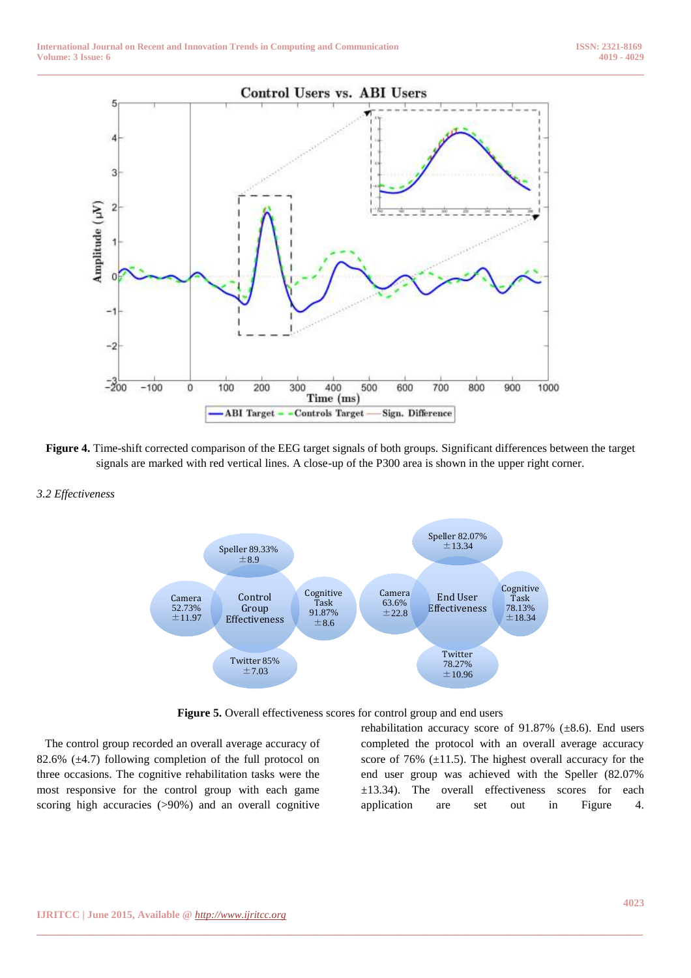

- **Figure 4.** Time-shift corrected comparison of the EEG target signals of both groups. Significant differences between the target signals are marked with red vertical lines. A close-up of the P300 area is shown in the upper right corner.
- *3.2 Effectiveness*





The control group recorded an overall average accuracy of 82.6%  $(\pm 4.7)$  following completion of the full protocol on three occasions. The cognitive rehabilitation tasks were the most responsive for the control group with each game scoring high accuracies (>90%) and an overall cognitive

rehabilitation accuracy score of 91.87% (±8.6). End users completed the protocol with an overall average accuracy score of 76%  $(\pm 11.5)$ . The highest overall accuracy for the end user group was achieved with the Speller (82.07% ±13.34). The overall effectiveness scores for each application are set out in Figure 4.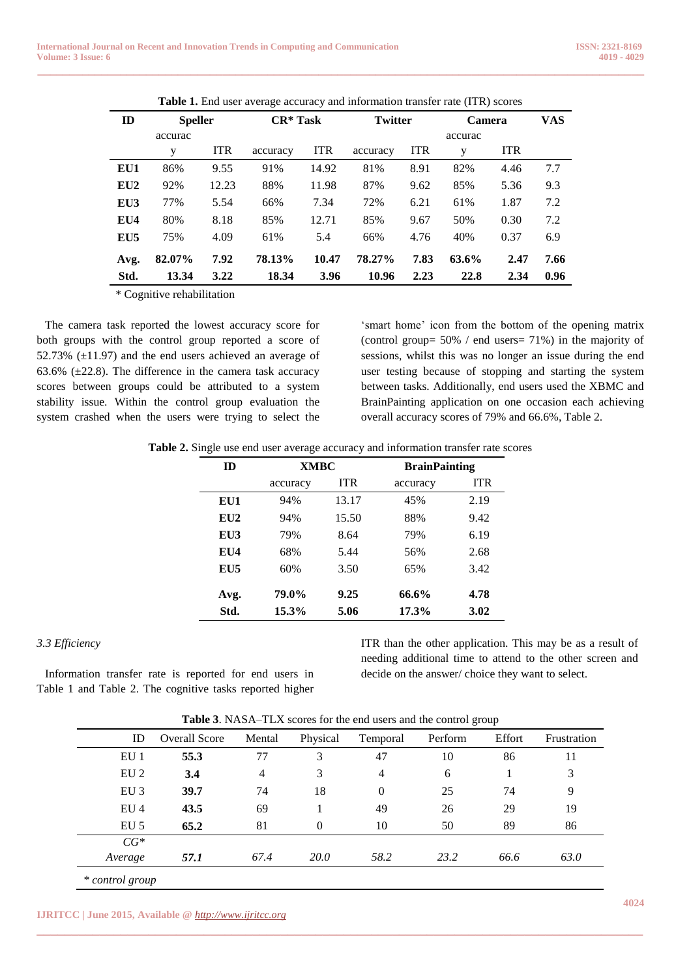|      |                |            | <b>Table 1.</b> Eine user average accuracy and information dansier rate (TTK) scores |            |                |            |               |            |      |
|------|----------------|------------|--------------------------------------------------------------------------------------|------------|----------------|------------|---------------|------------|------|
| ID   | <b>Speller</b> |            | $CR^*$ Task                                                                          |            | <b>Twitter</b> |            | <b>Camera</b> |            | VAS  |
|      | accurac        |            |                                                                                      |            |                |            | accurac       |            |      |
|      | у              | <b>ITR</b> | accuracy                                                                             | <b>ITR</b> | accuracy       | <b>ITR</b> | у             | <b>ITR</b> |      |
| EU1  | 86%            | 9.55       | 91%                                                                                  | 14.92      | 81%            | 8.91       | 82%           | 4.46       | 7.7  |
| EU2  | 92%            | 12.23      | 88%                                                                                  | 11.98      | 87%            | 9.62       | 85%           | 5.36       | 9.3  |
| EU3  | 77%            | 5.54       | 66%                                                                                  | 7.34       | 72%            | 6.21       | 61%           | 1.87       | 7.2  |
| EU4  | 80%            | 8.18       | 85%                                                                                  | 12.71      | 85%            | 9.67       | 50%           | 0.30       | 7.2  |
| EU5  | 75%            | 4.09       | 61%                                                                                  | 5.4        | 66%            | 4.76       | 40%           | 0.37       | 6.9  |
| Avg. | 82.07%         | 7.92       | 78.13%                                                                               | 10.47      | 78.27%         | 7.83       | 63.6%         | 2.47       | 7.66 |
| Std. | 13.34          | 3.22       | 18.34                                                                                | 3.96       | 10.96          | 2.23       | 22.8          | 2.34       | 0.96 |

**Table 1.** End user average accuracy and information transfer rate (ITR) scores

**\_\_\_\_\_\_\_\_\_\_\_\_\_\_\_\_\_\_\_\_\_\_\_\_\_\_\_\_\_\_\_\_\_\_\_\_\_\_\_\_\_\_\_\_\_\_\_\_\_\_\_\_\_\_\_\_\_\_\_\_\_\_\_\_\_\_\_\_\_\_\_\_\_\_\_\_\_\_\_\_\_\_\_\_\_\_\_\_\_\_\_\_\_\_\_**

\* Cognitive rehabilitation

The camera task reported the lowest accuracy score for both groups with the control group reported a score of 52.73%  $(\pm 11.97)$  and the end users achieved an average of 63.6%  $(\pm 22.8)$ . The difference in the camera task accuracy scores between groups could be attributed to a system stability issue. Within the control group evaluation the system crashed when the users were trying to select the

'smart home' icon from the bottom of the opening matrix (control group= 50% / end users= 71%) in the majority of sessions, whilst this was no longer an issue during the end user testing because of stopping and starting the system between tasks. Additionally, end users used the XBMC and BrainPainting application on one occasion each achieving overall accuracy scores of 79% and 66.6%, Table 2.

| Table 2. Single use end user average accuracy and information transfer rate scores |  |  |
|------------------------------------------------------------------------------------|--|--|
|                                                                                    |  |  |

| ID   | <b>XMBC</b> |            | <b>BrainPainting</b> |            |  |
|------|-------------|------------|----------------------|------------|--|
|      | accuracy    | <b>ITR</b> | accuracy             | <b>ITR</b> |  |
| EU1  | 94%         | 13.17      | 45%                  | 2.19       |  |
| EU2  | 94%         | 15.50      | 88%                  | 9.42       |  |
| EU3  | 79%         | 8.64       | 79%                  | 6.19       |  |
| EU4  | 68%         | 5.44       | 56%                  | 2.68       |  |
| EU5  | 60%         | 3.50       | 65%                  | 3.42       |  |
| Avg. | 79.0%       | 9.25       | 66.6%                | 4.78       |  |
| Std. | 15.3%       | 5.06       | 17.3%                | 3.02       |  |

#### *3.3 Efficiency*

Information transfer rate is reported for end users in Table 1 and Table 2. The cognitive tasks reported higher ITR than the other application. This may be as a result of needing additional time to attend to the other screen and decide on the answer/ choice they want to select.

**Table 3**. NASA–TLX scores for the end users and the control group

| 55.3<br>3.4 | 77   | 3           |                |      |      |      |
|-------------|------|-------------|----------------|------|------|------|
|             |      |             | 47             | 10   | 86   | 11   |
|             | 4    | 3           | 4              | 6    |      | 3    |
| 39.7        | 74   | 18          | $\overline{0}$ | 25   | 74   | 9    |
| 43.5        | 69   |             | 49             | 26   | 29   | 19   |
| 65.2        | 81   | $\theta$    | 10             | 50   | 89   | 86   |
|             |      |             |                |      |      |      |
| 57.1        | 67.4 | <i>20.0</i> | 58.2           | 23.2 | 66.6 | 63.0 |
|             |      |             |                |      |      |      |

**\_\_\_\_\_\_\_\_\_\_\_\_\_\_\_\_\_\_\_\_\_\_\_\_\_\_\_\_\_\_\_\_\_\_\_\_\_\_\_\_\_\_\_\_\_\_\_\_\_\_\_\_\_\_\_\_\_\_\_\_\_\_\_\_\_\_\_\_\_\_\_\_\_\_\_\_\_\_\_\_\_\_\_\_\_\_\_**

**IJRITCC | June 2015, Available @** *[http://www.ijritcc.org](http://www.ijritcc.org/)*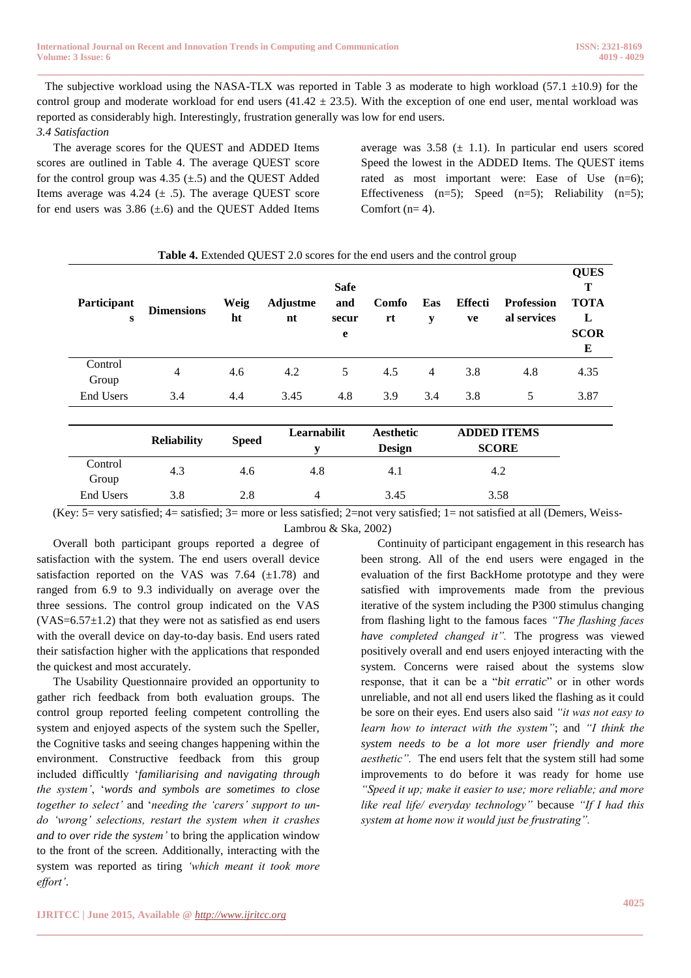The subjective workload using the NASA-TLX was reported in Table 3 as moderate to high workload (57.1  $\pm$ 10.9) for the control group and moderate workload for end users  $(41.42 \pm 23.5)$ . With the exception of one end user, mental workload was reported as considerably high. Interestingly, frustration generally was low for end users. *3.4 Satisfaction*

**\_\_\_\_\_\_\_\_\_\_\_\_\_\_\_\_\_\_\_\_\_\_\_\_\_\_\_\_\_\_\_\_\_\_\_\_\_\_\_\_\_\_\_\_\_\_\_\_\_\_\_\_\_\_\_\_\_\_\_\_\_\_\_\_\_\_\_\_\_\_\_\_\_\_\_\_\_\_\_\_\_\_\_\_\_\_\_\_\_\_\_\_\_\_\_**

The average scores for the QUEST and ADDED Items scores are outlined in Table 4. The average QUEST score for the control group was  $4.35 \ (\pm .5)$  and the QUEST Added Items average was 4.24  $(\pm 0.5)$ . The average QUEST score for end users was  $3.86 \ (\pm .6)$  and the QUEST Added Items

average was  $3.58 \ (\pm 1.1)$ . In particular end users scored Speed the lowest in the ADDED Items. The QUEST items rated as most important were: Ease of Use (n=6); Effectiveness  $(n=5)$ ; Speed  $(n=5)$ ; Reliability  $(n=5)$ ; Comfort  $(n= 4)$ .

| <b>Table 4.</b> Extended QUEST 2.0 scores for the end users and the control group |                     |                  |                       |                                  |             |          |                      |                                  |                                                          |  |
|-----------------------------------------------------------------------------------|---------------------|------------------|-----------------------|----------------------------------|-------------|----------|----------------------|----------------------------------|----------------------------------------------------------|--|
| Participant<br>S                                                                  | <b>Dimensions</b>   | Weig<br>ht       | <b>Adjustme</b><br>nt | <b>Safe</b><br>and<br>secur<br>e | Comfo<br>rt | Eas<br>y | <b>Effecti</b><br>ve | <b>Profession</b><br>al services | <b>QUES</b><br>Т<br><b>TOTA</b><br>L<br><b>SCOR</b><br>Е |  |
| Control<br>Group                                                                  | $\overline{4}$      | 4.6              | 4.2                   | 5                                | 4.5         | 4        | 3.8                  | 4.8                              | 4.35                                                     |  |
| <b>End Users</b>                                                                  | 3.4                 | 4.4              | 3.45                  | 4.8                              | 3.9         | 3.4      | 3.8                  | 5                                | 3.87                                                     |  |
|                                                                                   | $D - 12 - 1.212 + $ | $\alpha$ $\beta$ | Learnabilit           |                                  | Aesthetic   |          |                      | <b>ADDED ITEMS</b>               |                                                          |  |

|     |                           | Learnabilit         | Aesthetic     | <b>ADDED ITEMS</b> |  |
|-----|---------------------------|---------------------|---------------|--------------------|--|
|     |                           |                     | <b>Design</b> | <b>SCORE</b>       |  |
|     |                           |                     |               | 4.2                |  |
|     |                           |                     |               |                    |  |
| 3.8 | 2.8                       |                     | 3.45          | 3.58               |  |
|     | <b>Reliability</b><br>4.3 | <b>Speed</b><br>4.6 | 4.8           | 4.1                |  |

(Key: 5= very satisfied; 4= satisfied; 3= more or less satisfied; 2=not very satisfied; 1= not satisfied at all (Demers, Weiss-Lambrou & Ska, 2002)

**\_\_\_\_\_\_\_\_\_\_\_\_\_\_\_\_\_\_\_\_\_\_\_\_\_\_\_\_\_\_\_\_\_\_\_\_\_\_\_\_\_\_\_\_\_\_\_\_\_\_\_\_\_\_\_\_\_\_\_\_\_\_\_\_\_\_\_\_\_\_\_\_\_\_\_\_\_\_\_\_\_\_\_\_\_\_\_**

Overall both participant groups reported a degree of satisfaction with the system. The end users overall device satisfaction reported on the VAS was 7.64  $(\pm 1.78)$  and ranged from 6.9 to 9.3 individually on average over the three sessions. The control group indicated on the VAS  $(VAS=6.57\pm1.2)$  that they were not as satisfied as end users with the overall device on day-to-day basis. End users rated their satisfaction higher with the applications that responded the quickest and most accurately.

The Usability Questionnaire provided an opportunity to gather rich feedback from both evaluation groups. The control group reported feeling competent controlling the system and enjoyed aspects of the system such the Speller, the Cognitive tasks and seeing changes happening within the environment. Constructive feedback from this group included difficultly '*familiarising and navigating through the system'*, '*words and symbols are sometimes to close together to select'* and '*needing the 'carers' support to undo 'wrong' selections, restart the system when it crashes and to over ride the system'* to bring the application window to the front of the screen. Additionally, interacting with the system was reported as tiring *'which meant it took more effort'*.

Continuity of participant engagement in this research has been strong. All of the end users were engaged in the evaluation of the first BackHome prototype and they were satisfied with improvements made from the previous iterative of the system including the P300 stimulus changing from flashing light to the famous faces *"The flashing faces have completed changed it".* The progress was viewed positively overall and end users enjoyed interacting with the system. Concerns were raised about the systems slow response, that it can be a "*bit erratic*" or in other words unreliable, and not all end users liked the flashing as it could be sore on their eyes. End users also said *"it was not easy to learn how to interact with the system"*; and *"I think the system needs to be a lot more user friendly and more aesthetic".* The end users felt that the system still had some improvements to do before it was ready for home use *"Speed it up; make it easier to use; more reliable; and more like real life/ everyday technology"* because *"If I had this system at home now it would just be frustrating".*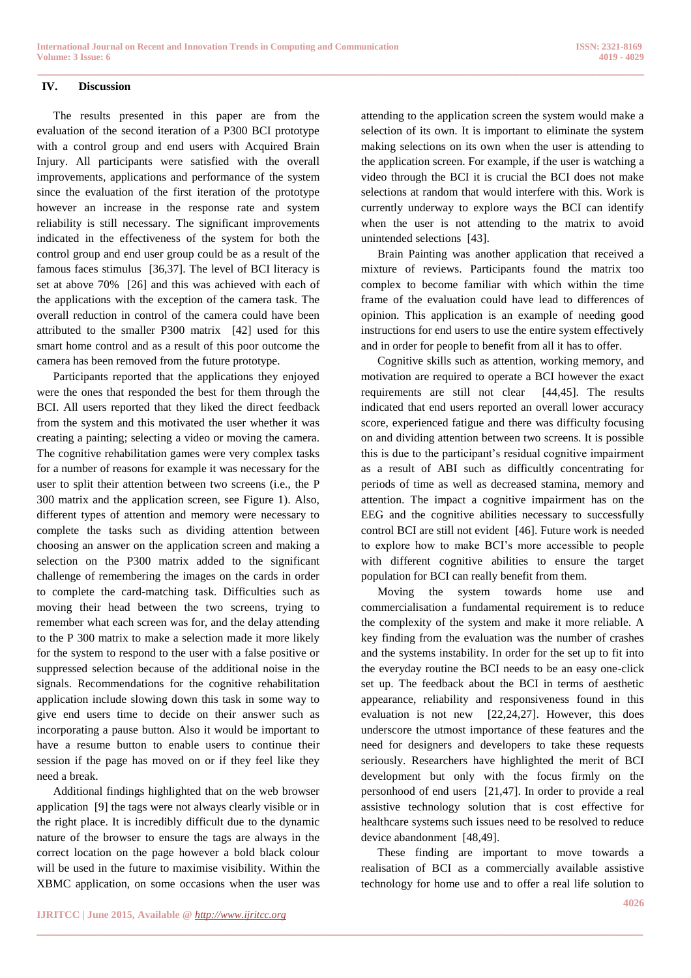**\_\_\_\_\_\_\_\_\_\_\_\_\_\_\_\_\_\_\_\_\_\_\_\_\_\_\_\_\_\_\_\_\_\_\_\_\_\_\_\_\_\_\_\_\_\_\_\_\_\_\_\_\_\_\_\_\_\_\_\_\_\_\_\_\_\_\_\_\_\_\_\_\_\_\_\_\_\_\_\_\_\_\_\_\_\_\_**

#### **IV. Discussion**

The results presented in this paper are from the evaluation of the second iteration of a P300 BCI prototype with a control group and end users with Acquired Brain Injury. All participants were satisfied with the overall improvements, applications and performance of the system since the evaluation of the first iteration of the prototype however an increase in the response rate and system reliability is still necessary. The significant improvements indicated in the effectiveness of the system for both the control group and end user group could be as a result of the famous faces stimulus [36,37]. The level of BCI literacy is set at above 70% [26] and this was achieved with each of the applications with the exception of the camera task. The overall reduction in control of the camera could have been attributed to the smaller P300 matrix [42] used for this smart home control and as a result of this poor outcome the camera has been removed from the future prototype.

Participants reported that the applications they enjoyed were the ones that responded the best for them through the BCI. All users reported that they liked the direct feedback from the system and this motivated the user whether it was creating a painting; selecting a video or moving the camera. The cognitive rehabilitation games were very complex tasks for a number of reasons for example it was necessary for the user to split their attention between two screens (i.e., the P 300 matrix and the application screen, see Figure 1). Also, different types of attention and memory were necessary to complete the tasks such as dividing attention between choosing an answer on the application screen and making a selection on the P300 matrix added to the significant challenge of remembering the images on the cards in order to complete the card-matching task. Difficulties such as moving their head between the two screens, trying to remember what each screen was for, and the delay attending to the P 300 matrix to make a selection made it more likely for the system to respond to the user with a false positive or suppressed selection because of the additional noise in the signals. Recommendations for the cognitive rehabilitation application include slowing down this task in some way to give end users time to decide on their answer such as incorporating a pause button. Also it would be important to have a resume button to enable users to continue their session if the page has moved on or if they feel like they need a break.

Additional findings highlighted that on the web browser application [9] the tags were not always clearly visible or in the right place. It is incredibly difficult due to the dynamic nature of the browser to ensure the tags are always in the correct location on the page however a bold black colour will be used in the future to maximise visibility. Within the XBMC application, on some occasions when the user was attending to the application screen the system would make a selection of its own. It is important to eliminate the system making selections on its own when the user is attending to the application screen. For example, if the user is watching a video through the BCI it is crucial the BCI does not make selections at random that would interfere with this. Work is currently underway to explore ways the BCI can identify when the user is not attending to the matrix to avoid unintended selections [43].

Brain Painting was another application that received a mixture of reviews. Participants found the matrix too complex to become familiar with which within the time frame of the evaluation could have lead to differences of opinion. This application is an example of needing good instructions for end users to use the entire system effectively and in order for people to benefit from all it has to offer.

Cognitive skills such as attention, working memory, and motivation are required to operate a BCI however the exact requirements are still not clear [44,45]. The results indicated that end users reported an overall lower accuracy score, experienced fatigue and there was difficulty focusing on and dividing attention between two screens. It is possible this is due to the participant's residual cognitive impairment as a result of ABI such as difficultly concentrating for periods of time as well as decreased stamina, memory and attention. The impact a cognitive impairment has on the EEG and the cognitive abilities necessary to successfully control BCI are still not evident [46]. Future work is needed to explore how to make BCI's more accessible to people with different cognitive abilities to ensure the target population for BCI can really benefit from them.

Moving the system towards home use and commercialisation a fundamental requirement is to reduce the complexity of the system and make it more reliable. A key finding from the evaluation was the number of crashes and the systems instability. In order for the set up to fit into the everyday routine the BCI needs to be an easy one-click set up. The feedback about the BCI in terms of aesthetic appearance, reliability and responsiveness found in this evaluation is not new [22,24,27]. However, this does underscore the utmost importance of these features and the need for designers and developers to take these requests seriously. Researchers have highlighted the merit of BCI development but only with the focus firmly on the personhood of end users [21,47]. In order to provide a real assistive technology solution that is cost effective for healthcare systems such issues need to be resolved to reduce device abandonment [48,49].

These finding are important to move towards a realisation of BCI as a commercially available assistive technology for home use and to offer a real life solution to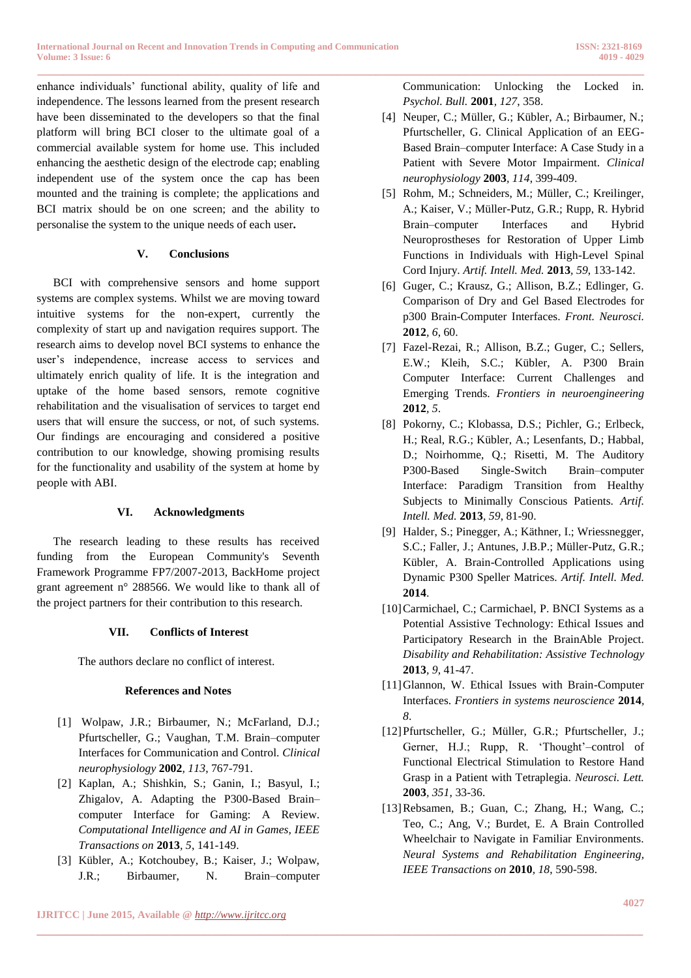**\_\_\_\_\_\_\_\_\_\_\_\_\_\_\_\_\_\_\_\_\_\_\_\_\_\_\_\_\_\_\_\_\_\_\_\_\_\_\_\_\_\_\_\_\_\_\_\_\_\_\_\_\_\_\_\_\_\_\_\_\_\_\_\_\_\_\_\_\_\_\_\_\_\_\_\_\_\_\_\_\_\_\_\_\_\_\_\_\_\_\_\_\_\_\_** enhance individuals' functional ability, quality of life and independence. The lessons learned from the present research have been disseminated to the developers so that the final platform will bring BCI closer to the ultimate goal of a commercial available system for home use. This included enhancing the aesthetic design of the electrode cap; enabling independent use of the system once the cap has been mounted and the training is complete; the applications and BCI matrix should be on one screen; and the ability to personalise the system to the unique needs of each user**.** 

## **V. Conclusions**

BCI with comprehensive sensors and home support systems are complex systems. Whilst we are moving toward intuitive systems for the non-expert, currently the complexity of start up and navigation requires support. The research aims to develop novel BCI systems to enhance the user's independence, increase access to services and ultimately enrich quality of life. It is the integration and uptake of the home based sensors, remote cognitive rehabilitation and the visualisation of services to target end users that will ensure the success, or not, of such systems. Our findings are encouraging and considered a positive contribution to our knowledge, showing promising results for the functionality and usability of the system at home by people with ABI.

## **VI. Acknowledgments**

The research leading to these results has received funding from the European Community's Seventh Framework Programme FP7/2007-2013, BackHome project grant agreement n° 288566. We would like to thank all of the project partners for their contribution to this research.

## **VII. Conflicts of Interest**

The authors declare no conflict of interest.

## **References and Notes**

- [1] Wolpaw, J.R.; Birbaumer, N.; McFarland, D.J.; Pfurtscheller, G.; Vaughan, T.M. Brain–computer Interfaces for Communication and Control. *Clinical neurophysiology* **2002***, 113*, 767-791.
- [2] Kaplan, A.; Shishkin, S.; Ganin, I.; Basyul, I.; Zhigalov, A. Adapting the P300-Based Brain– computer Interface for Gaming: A Review. *Computational Intelligence and AI in Games, IEEE Transactions on* **2013***, 5*, 141-149.
- [3] Kübler, A.; Kotchoubey, B.; Kaiser, J.; Wolpaw, J.R.; Birbaumer, N. Brain–computer

**\_\_\_\_\_\_\_\_\_\_\_\_\_\_\_\_\_\_\_\_\_\_\_\_\_\_\_\_\_\_\_\_\_\_\_\_\_\_\_\_\_\_\_\_\_\_\_\_\_\_\_\_\_\_\_\_\_\_\_\_\_\_\_\_\_\_\_\_\_\_\_\_\_\_\_\_\_\_\_\_\_\_\_\_\_\_\_**

Communication: Unlocking the Locked in. *Psychol. Bull.* **2001***, 127*, 358.

- [4] Neuper, C.; Müller, G.; Kübler, A.; Birbaumer, N.; Pfurtscheller, G. Clinical Application of an EEG-Based Brain–computer Interface: A Case Study in a Patient with Severe Motor Impairment. *Clinical neurophysiology* **2003***, 114*, 399-409.
- [5] Rohm, M.; Schneiders, M.; Müller, C.; Kreilinger, A.; Kaiser, V.; Müller-Putz, G.R.; Rupp, R. Hybrid Brain–computer Interfaces and Hybrid Neuroprostheses for Restoration of Upper Limb Functions in Individuals with High-Level Spinal Cord Injury. *Artif. Intell. Med.* **2013***, 59*, 133-142.
- [6] Guger, C.; Krausz, G.; Allison, B.Z.; Edlinger, G. Comparison of Dry and Gel Based Electrodes for p300 Brain-Computer Interfaces. *Front. Neurosci.*  **2012***, 6*, 60.
- [7] Fazel-Rezai, R.; Allison, B.Z.; Guger, C.; Sellers, E.W.; Kleih, S.C.; Kübler, A. P300 Brain Computer Interface: Current Challenges and Emerging Trends. *Frontiers in neuroengineering*  **2012***, 5*.
- [8] Pokorny, C.; Klobassa, D.S.; Pichler, G.; Erlbeck, H.; Real, R.G.; Kübler, A.; Lesenfants, D.; Habbal, D.; Noirhomme, Q.; Risetti, M. The Auditory P300-Based Single-Switch Brain–computer Interface: Paradigm Transition from Healthy Subjects to Minimally Conscious Patients. *Artif. Intell. Med.* **2013***, 59*, 81-90.
- [9] Halder, S.; Pinegger, A.; Käthner, I.; Wriessnegger, S.C.; Faller, J.; Antunes, J.B.P.; Müller-Putz, G.R.; Kübler, A. Brain-Controlled Applications using Dynamic P300 Speller Matrices. *Artif. Intell. Med.*  **2014**.
- [10]Carmichael, C.; Carmichael, P. BNCI Systems as a Potential Assistive Technology: Ethical Issues and Participatory Research in the BrainAble Project. *Disability and Rehabilitation: Assistive Technology*  **2013***, 9*, 41-47.
- [11]Glannon, W. Ethical Issues with Brain-Computer Interfaces. *Frontiers in systems neuroscience* **2014***, 8*.
- [12]Pfurtscheller, G.; Müller, G.R.; Pfurtscheller, J.; Gerner, H.J.; Rupp, R. 'Thought'–control of Functional Electrical Stimulation to Restore Hand Grasp in a Patient with Tetraplegia. *Neurosci. Lett.*  **2003***, 351*, 33-36.
- [13]Rebsamen, B.; Guan, C.; Zhang, H.; Wang, C.; Teo, C.; Ang, V.; Burdet, E. A Brain Controlled Wheelchair to Navigate in Familiar Environments. *Neural Systems and Rehabilitation Engineering, IEEE Transactions on* **2010***, 18*, 590-598.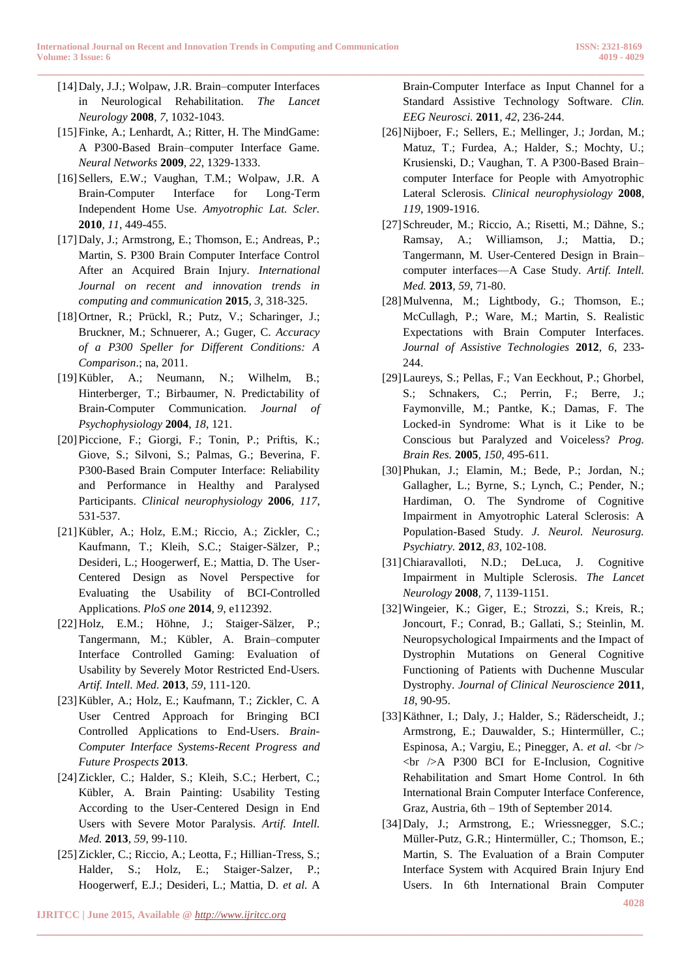- [14]Daly, J.J.; Wolpaw, J.R. Brain–computer Interfaces in Neurological Rehabilitation. *The Lancet Neurology* **2008***, 7*, 1032-1043.
- [15]Finke, A.; Lenhardt, A.; Ritter, H. The MindGame: A P300-Based Brain–computer Interface Game. *Neural Networks* **2009***, 22*, 1329-1333.
- [16]Sellers, E.W.; Vaughan, T.M.; Wolpaw, J.R. A Brain-Computer Interface for Long-Term Independent Home Use. *Amyotrophic Lat. Scler.*  **2010***, 11*, 449-455.
- [17]Daly, J.; Armstrong, E.; Thomson, E.; Andreas, P.; Martin, S. P300 Brain Computer Interface Control After an Acquired Brain Injury. *International Journal on recent and innovation trends in computing and communication* **2015***, 3*, 318-325.
- [18]Ortner, R.; Prückl, R.; Putz, V.; Scharinger, J.; Bruckner, M.; Schnuerer, A.; Guger, C. *Accuracy of a P300 Speller for Different Conditions: A Comparison*.; na, 2011.
- [19]Kübler, A.; Neumann, N.; Wilhelm, B.; Hinterberger, T.; Birbaumer, N. Predictability of Brain-Computer Communication. *Journal of Psychophysiology* **2004***, 18*, 121.
- [20]Piccione, F.; Giorgi, F.; Tonin, P.; Priftis, K.; Giove, S.; Silvoni, S.; Palmas, G.; Beverina, F. P300-Based Brain Computer Interface: Reliability and Performance in Healthy and Paralysed Participants. *Clinical neurophysiology* **2006***, 117*, 531-537.
- [21]Kübler, A.; Holz, E.M.; Riccio, A.; Zickler, C.; Kaufmann, T.; Kleih, S.C.; Staiger-Sälzer, P.; Desideri, L.; Hoogerwerf, E.; Mattia, D. The User-Centered Design as Novel Perspective for Evaluating the Usability of BCI-Controlled Applications. *PloS one* **2014***, 9*, e112392.
- [22]Holz, E.M.; Höhne, J.; Staiger-Sälzer, P.; Tangermann, M.; Kübler, A. Brain–computer Interface Controlled Gaming: Evaluation of Usability by Severely Motor Restricted End-Users. *Artif. Intell. Med.* **2013***, 59*, 111-120.
- [23]Kübler, A.; Holz, E.; Kaufmann, T.; Zickler, C. A User Centred Approach for Bringing BCI Controlled Applications to End-Users. *Brain-Computer Interface Systems-Recent Progress and Future Prospects* **2013**.
- [24]Zickler, C.; Halder, S.; Kleih, S.C.; Herbert, C.; Kübler, A. Brain Painting: Usability Testing According to the User-Centered Design in End Users with Severe Motor Paralysis. *Artif. Intell. Med.* **2013***, 59*, 99-110.
- [25]Zickler, C.; Riccio, A.; Leotta, F.; Hillian-Tress, S.; Halder, S.; Holz, E.; Staiger-Salzer, P.; Hoogerwerf, E.J.; Desideri, L.; Mattia, D. *et al.* A

**\_\_\_\_\_\_\_\_\_\_\_\_\_\_\_\_\_\_\_\_\_\_\_\_\_\_\_\_\_\_\_\_\_\_\_\_\_\_\_\_\_\_\_\_\_\_\_\_\_\_\_\_\_\_\_\_\_\_\_\_\_\_\_\_\_\_\_\_\_\_\_\_\_\_\_\_\_\_\_\_\_\_\_\_\_\_\_**

**IJRITCC | June 2015, Available @** *[http://www.ijritcc.org](http://www.ijritcc.org/)* 

Brain-Computer Interface as Input Channel for a Standard Assistive Technology Software. *Clin. EEG Neurosci.* **2011***, 42*, 236-244.

- [26]Nijboer, F.; Sellers, E.; Mellinger, J.; Jordan, M.; Matuz, T.; Furdea, A.; Halder, S.; Mochty, U.; Krusienski, D.; Vaughan, T. A P300-Based Brain– computer Interface for People with Amyotrophic Lateral Sclerosis. *Clinical neurophysiology* **2008***, 119*, 1909-1916.
- [27] Schreuder, M.; Riccio, A.; Risetti, M.; Dähne, S.; Ramsay, A.; Williamson, J.; Mattia, D.; Tangermann, M. User-Centered Design in Brain– computer interfaces—A Case Study. *Artif. Intell. Med.* **2013***, 59*, 71-80.
- [28]Mulvenna, M.; Lightbody, G.; Thomson, E.; McCullagh, P.; Ware, M.; Martin, S. Realistic Expectations with Brain Computer Interfaces. *Journal of Assistive Technologies* **2012***, 6*, 233- 244.
- [29]Laureys, S.; Pellas, F.; Van Eeckhout, P.; Ghorbel, S.; Schnakers, C.; Perrin, F.; Berre, J.; Faymonville, M.; Pantke, K.; Damas, F. The Locked-in Syndrome: What is it Like to be Conscious but Paralyzed and Voiceless? *Prog. Brain Res.* **2005***, 150*, 495-611.
- [30]Phukan, J.; Elamin, M.; Bede, P.; Jordan, N.; Gallagher, L.; Byrne, S.; Lynch, C.; Pender, N.; Hardiman, O. The Syndrome of Cognitive Impairment in Amyotrophic Lateral Sclerosis: A Population-Based Study. *J. Neurol. Neurosurg. Psychiatry.* **2012***, 83*, 102-108.
- [31]Chiaravalloti, N.D.; DeLuca, J. Cognitive Impairment in Multiple Sclerosis. *The Lancet Neurology* **2008***, 7*, 1139-1151.
- [32]Wingeier, K.; Giger, E.; Strozzi, S.; Kreis, R.; Joncourt, F.; Conrad, B.; Gallati, S.; Steinlin, M. Neuropsychological Impairments and the Impact of Dystrophin Mutations on General Cognitive Functioning of Patients with Duchenne Muscular Dystrophy. *Journal of Clinical Neuroscience* **2011***, 18*, 90-95.
- [33]Käthner, I.; Daly, J.; Halder, S.; Räderscheidt, J.; Armstrong, E.; Dauwalder, S.; Hintermüller, C.; Espinosa, A.; Vargiu, E.; Pinegger, A. *et al.* <br/>  $\langle \rangle$  $\langle$ br  $\rangle$ A P300 BCI for E-Inclusion, Cognitive Rehabilitation and Smart Home Control. In 6th International Brain Computer Interface Conference, Graz, Austria, 6th – 19th of September 2014.
- [34]Daly, J.; Armstrong, E.; Wriessnegger, S.C.; Müller-Putz, G.R.; Hintermüller, C.; Thomson, E.; Martin, S. The Evaluation of a Brain Computer Interface System with Acquired Brain Injury End Users. In 6th International Brain Computer